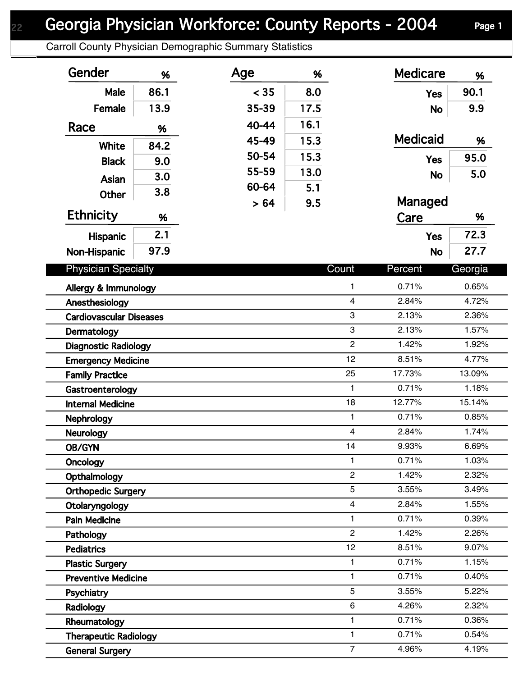## Georgia Physician Workforce: County Reports - 2004 Page 1

Carroll County Physician Demographic Summary Statistics

| Gender                                               | %    | Age   | %    |                                | <b>Medicare</b> | %              |
|------------------------------------------------------|------|-------|------|--------------------------------|-----------------|----------------|
| Male                                                 | 86.1 | < 35  | 8.0  |                                | <b>Yes</b>      | 90.1           |
| Female                                               | 13.9 | 35-39 | 17.5 |                                | <b>No</b>       | 9.9            |
| Race                                                 | %    | 40-44 | 16.1 |                                |                 |                |
| White                                                | 84.2 | 45-49 | 15.3 |                                | <b>Medicaid</b> | %              |
| <b>Black</b>                                         |      | 50-54 | 15.3 |                                | <b>Yes</b>      | 95.0           |
|                                                      | 9.0  | 55-59 | 13.0 |                                | <b>No</b>       | 5.0            |
| Asian                                                | 3.0  | 60-64 | 5.1  |                                |                 |                |
| <b>Other</b>                                         | 3.8  | > 64  | 9.5  |                                | Managed         |                |
| <b>Ethnicity</b>                                     | %    |       |      |                                | Care            | %              |
| <b>Hispanic</b>                                      | 2.1  |       |      |                                | <b>Yes</b>      | 72.3           |
| Non-Hispanic                                         | 97.9 |       |      |                                | <b>No</b>       | 27.7           |
|                                                      |      |       |      |                                |                 |                |
| <b>Physician Specialty</b>                           |      |       |      | Count                          | Percent         | Georgia        |
| Allergy & Immunology                                 |      |       |      | 1                              | 0.71%           | 0.65%          |
| Anesthesiology                                       |      |       |      | $\overline{\mathbf{4}}$        | 2.84%           | 4.72%          |
| <b>Cardiovascular Diseases</b>                       |      |       |      | 3                              | 2.13%           | 2.36%          |
| Dermatology                                          |      |       |      | 3                              | 2.13%           | 1.57%          |
| <b>Diagnostic Radiology</b>                          |      |       |      | $\overline{c}$                 | 1.42%           | 1.92%          |
| <b>Emergency Medicine</b>                            |      |       |      | 12                             | 8.51%           | 4.77%          |
| <b>Family Practice</b>                               |      |       |      | 25                             | 17.73%          | 13.09%         |
| Gastroenterology                                     |      |       |      | $\mathbf{1}$                   | 0.71%           | 1.18%          |
| <b>Internal Medicine</b>                             |      |       |      | 18                             | 12.77%          | 15.14%         |
| <b>Nephrology</b>                                    |      |       |      | $\mathbf{1}$                   | 0.71%           | 0.85%          |
| <b>Neurology</b>                                     |      |       |      | $\overline{\mathbf{4}}$        | 2.84%           | 1.74%          |
| <b>OB/GYN</b>                                        |      |       |      | 14                             | 9.93%           | 6.69%          |
| <b>Oncology</b>                                      |      |       |      | $\mathbf{1}$<br>$\overline{c}$ | 0.71%<br>1.42%  | 1.03%          |
| Opthalmology                                         |      |       |      | 5                              | 3.55%           | 2.32%<br>3.49% |
| <b>Orthopedic Surgery</b>                            |      |       |      | $\overline{4}$                 | 2.84%           | 1.55%          |
| Otolaryngology                                       |      |       |      | 1                              | 0.71%           | 0.39%          |
| <b>Pain Medicine</b>                                 |      |       |      | $\overline{2}$                 | 1.42%           | 2.26%          |
| Pathology<br><b>Pediatrics</b>                       |      |       |      | 12                             | 8.51%           | 9.07%          |
|                                                      |      |       |      | 1                              | 0.71%           | 1.15%          |
| <b>Plastic Surgery</b><br><b>Preventive Medicine</b> |      |       |      | 1                              | 0.71%           | 0.40%          |
| Psychiatry                                           |      |       |      | 5                              | 3.55%           | 5.22%          |
| Radiology                                            |      |       |      | 6                              | 4.26%           | 2.32%          |
| Rheumatology                                         |      |       |      | 1                              | 0.71%           | 0.36%          |
| <b>Therapeutic Radiology</b>                         |      |       |      | $\mathbf{1}$                   | 0.71%           | 0.54%          |
| <b>General Surgery</b>                               |      |       |      | $\overline{7}$                 | 4.96%           | 4.19%          |
|                                                      |      |       |      |                                |                 |                |